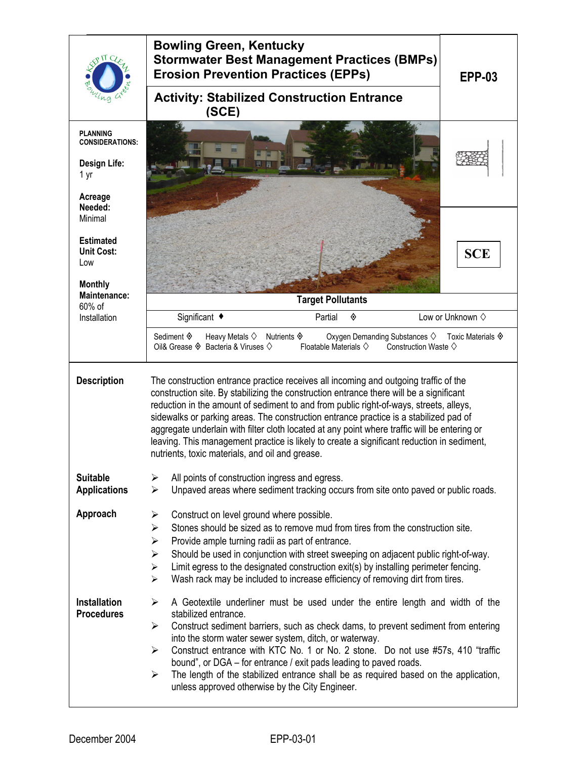|                                                           | <b>Bowling Green, Kentucky</b><br><b>Stormwater Best Management Practices (BMPs)</b><br><b>Erosion Prevention Practices (EPPs)</b><br><b>EPP-03</b>                                                                                                                                                                                                                                                                                                                                                                                                                                                                 |  |  |  |  |
|-----------------------------------------------------------|---------------------------------------------------------------------------------------------------------------------------------------------------------------------------------------------------------------------------------------------------------------------------------------------------------------------------------------------------------------------------------------------------------------------------------------------------------------------------------------------------------------------------------------------------------------------------------------------------------------------|--|--|--|--|
|                                                           | <b>Activity: Stabilized Construction Entrance</b><br>(SCE)                                                                                                                                                                                                                                                                                                                                                                                                                                                                                                                                                          |  |  |  |  |
| <b>PLANNING</b><br><b>CONSIDERATIONS:</b><br>Design Life: |                                                                                                                                                                                                                                                                                                                                                                                                                                                                                                                                                                                                                     |  |  |  |  |
| 1 yr<br>Acreage<br>Needed:                                |                                                                                                                                                                                                                                                                                                                                                                                                                                                                                                                                                                                                                     |  |  |  |  |
| Minimal<br><b>Estimated</b>                               |                                                                                                                                                                                                                                                                                                                                                                                                                                                                                                                                                                                                                     |  |  |  |  |
| <b>Unit Cost:</b><br>Low                                  | <b>SCE</b>                                                                                                                                                                                                                                                                                                                                                                                                                                                                                                                                                                                                          |  |  |  |  |
| <b>Monthly</b><br>Maintenance:                            | <b>Target Pollutants</b>                                                                                                                                                                                                                                                                                                                                                                                                                                                                                                                                                                                            |  |  |  |  |
| 60% of<br>Installation                                    | Significant ◆<br>Low or Unknown $\diamond$<br>Partial<br>◈                                                                                                                                                                                                                                                                                                                                                                                                                                                                                                                                                          |  |  |  |  |
|                                                           | Sediment $\textcircled{\ensuremath{\mathfrak{g}}}$<br>Heavy Metals $\diamondsuit$<br>Oxygen Demanding Substances $\diamondsuit$<br>Toxic Materials $\hat{\diamond}$<br>Nutrients $\Diamond$<br>Oil& Grease $\hat{\diamond}$ Bacteria & Viruses $\Diamond$<br>Floatable Materials $\diamondsuit$<br>Construction Waste $\diamond$                                                                                                                                                                                                                                                                                    |  |  |  |  |
| <b>Description</b>                                        | The construction entrance practice receives all incoming and outgoing traffic of the<br>construction site. By stabilizing the construction entrance there will be a significant<br>reduction in the amount of sediment to and from public right-of-ways, streets, alleys,<br>sidewalks or parking areas. The construction entrance practice is a stabilized pad of<br>aggregate underlain with filter cloth located at any point where traffic will be entering or<br>leaving. This management practice is likely to create a significant reduction in sediment,<br>nutrients, toxic materials, and oil and grease. |  |  |  |  |
| <b>Suitable</b><br><b>Applications</b>                    | All points of construction ingress and egress.<br>➤<br>Unpaved areas where sediment tracking occurs from site onto paved or public roads.<br>$\blacktriangleright$                                                                                                                                                                                                                                                                                                                                                                                                                                                  |  |  |  |  |
| Approach                                                  | Construct on level ground where possible.<br>➤<br>Stones should be sized as to remove mud from tires from the construction site.<br>➤<br>$\blacktriangleright$<br>Provide ample turning radii as part of entrance.<br>Should be used in conjunction with street sweeping on adjacent public right-of-way.<br>$\blacktriangleright$<br>Limit egress to the designated construction exit(s) by installing perimeter fencing.<br>➤<br>Wash rack may be included to increase efficiency of removing dirt from tires.<br>$\blacktriangleright$                                                                           |  |  |  |  |
| <b>Installation</b><br><b>Procedures</b>                  | A Geotextile underliner must be used under the entire length and width of the<br>➤<br>stabilized entrance.<br>Construct sediment barriers, such as check dams, to prevent sediment from entering<br>$\blacktriangleright$<br>into the storm water sewer system, ditch, or waterway.<br>Construct entrance with KTC No. 1 or No. 2 stone. Do not use #57s, 410 "traffic<br>➤<br>bound", or DGA – for entrance / exit pads leading to paved roads.<br>The length of the stabilized entrance shall be as required based on the application,<br>➤<br>unless approved otherwise by the City Engineer.                    |  |  |  |  |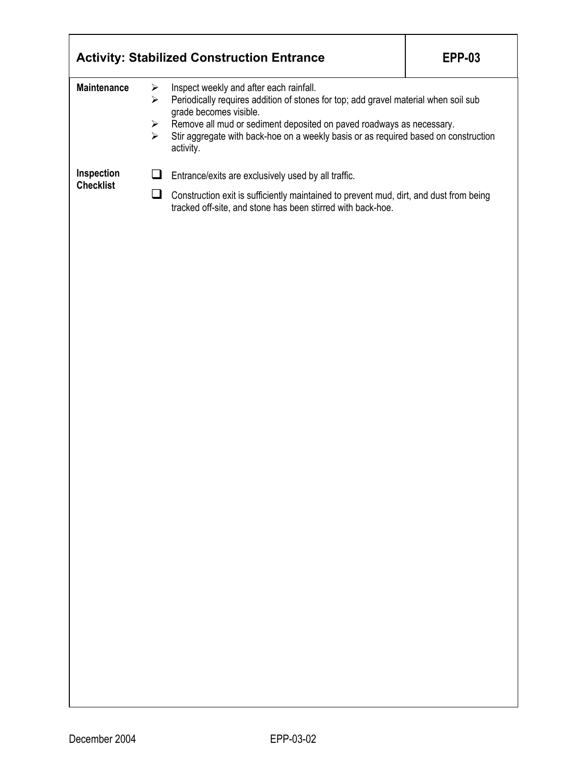|                                |                                                                              | <b>Activity: Stabilized Construction Entrance</b>                                                                                                                                                                                                                                                                                    | <b>EPP-03</b> |  |
|--------------------------------|------------------------------------------------------------------------------|--------------------------------------------------------------------------------------------------------------------------------------------------------------------------------------------------------------------------------------------------------------------------------------------------------------------------------------|---------------|--|
| <b>Maintenance</b>             | $\blacktriangleright$<br>$\blacktriangleright$<br>➤<br>$\blacktriangleright$ | Inspect weekly and after each rainfall.<br>Periodically requires addition of stones for top; add gravel material when soil sub<br>grade becomes visible.<br>Remove all mud or sediment deposited on paved roadways as necessary.<br>Stir aggregate with back-hoe on a weekly basis or as required based on construction<br>activity. |               |  |
| Inspection<br><b>Checklist</b> | u                                                                            | Entrance/exits are exclusively used by all traffic.                                                                                                                                                                                                                                                                                  |               |  |
|                                | u                                                                            | Construction exit is sufficiently maintained to prevent mud, dirt, and dust from being<br>tracked off-site, and stone has been stirred with back-hoe.                                                                                                                                                                                |               |  |
|                                |                                                                              |                                                                                                                                                                                                                                                                                                                                      |               |  |
|                                |                                                                              |                                                                                                                                                                                                                                                                                                                                      |               |  |
|                                |                                                                              |                                                                                                                                                                                                                                                                                                                                      |               |  |
|                                |                                                                              |                                                                                                                                                                                                                                                                                                                                      |               |  |
|                                |                                                                              |                                                                                                                                                                                                                                                                                                                                      |               |  |
|                                |                                                                              |                                                                                                                                                                                                                                                                                                                                      |               |  |
|                                |                                                                              |                                                                                                                                                                                                                                                                                                                                      |               |  |
|                                |                                                                              |                                                                                                                                                                                                                                                                                                                                      |               |  |
|                                |                                                                              |                                                                                                                                                                                                                                                                                                                                      |               |  |
|                                |                                                                              |                                                                                                                                                                                                                                                                                                                                      |               |  |
|                                |                                                                              |                                                                                                                                                                                                                                                                                                                                      |               |  |
|                                |                                                                              |                                                                                                                                                                                                                                                                                                                                      |               |  |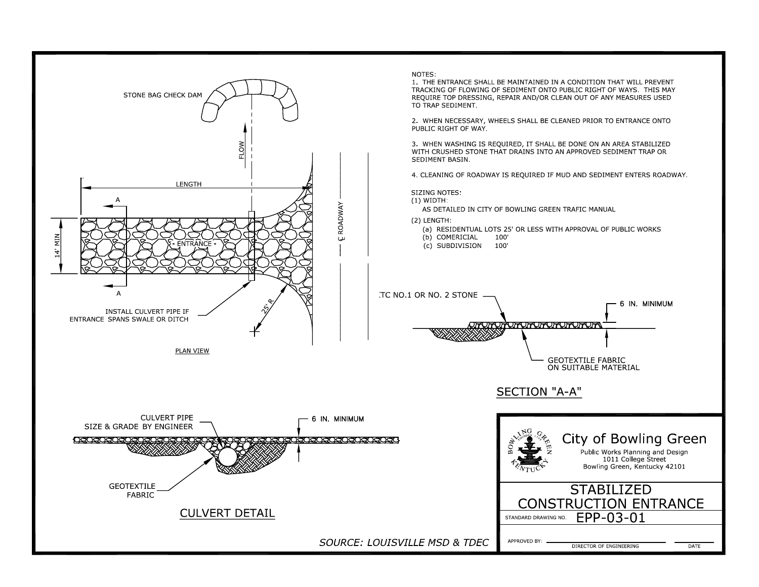